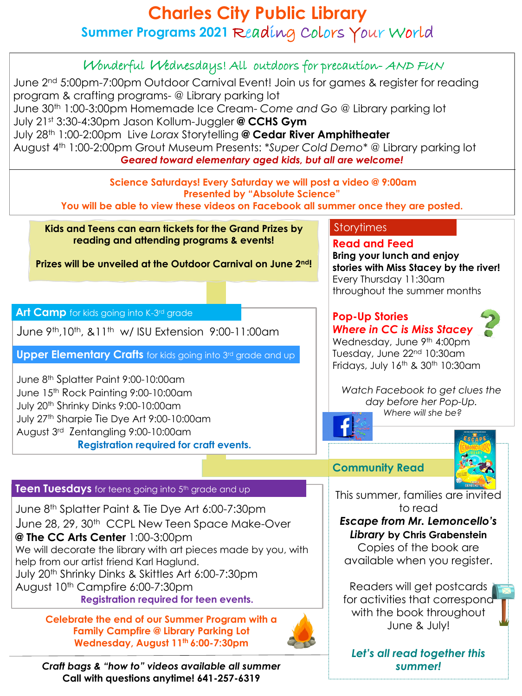June 2nd 5:00pm-7:00pm Outdoor Carnival Event! Join us for games & register for reading program & crafting programs- *@* Library parking lot June 30th 1:00-3:00pm Homemade Ice Cream- *Come and Go @* Library parking lot July 21st 3:30-4:30pm Jason Kollum-Juggler **@ CCHS Gym** July 28th 1:00-2:00pm Live *Lorax* Storytelling *@* **Cedar River Amphitheater** August 4th 1:00-2:00pm Grout Museum Presents: *\*Super Cold Demo\* @* Library parking lot *Geared toward elementary aged kids, but all are welcome!*

> **Science Saturdays! Every Saturday we will post a video @ 9:00am Presented by "Absolute Science"**

**You will be able to view these videos on Facebook all summer once they are posted.**

June 8th Splatter Paint & Tie Dye Art 6:00-7:30pm June 28, 29, 30<sup>th</sup> CCPL New Teen Space Make-Over **@ The CC Arts Center** 1:00-3:00pm We will decorate the library with art pieces made by you, with help from our artist friend Karl Haglund. July 20th Shrinky Dinks & Skittles Art 6:00-7:30pm August 10th Campfire 6:00-7:30pm **Registration required for teen events.**

# **Charles City Public Library Summer Programs 2021** Reading Colors Your World

Wonderful Wednesdays! All outdoors for precaution-AND FUN

## **Read and Feed**

**Bring your lunch and enjoy stories with Miss Stacey by the river!** Every Thursday 11:30am throughout the summer months

#### **Pop-Up Stories** *Where in CC is Miss Stacey*

Wednesday, June 9<sup>th</sup> 4:00pm Tuesday, June 22nd 10:30am Fridays, July  $16<sup>th</sup>$  &  $30<sup>th</sup>$  10:30am

*Watch Facebook to get clues the day before her Pop-Up. Where will she be?*

June 9th,10th, &11th w/ ISU Extension 9:00-11:00am

**Upper Elementary Crafts** for kids going into 3rd grade and up

June 8 th Splatter Paint 9:00-10:00am June 15<sup>th</sup> Rock Painting 9:00-10:00am July 20th Shrinky Dinks 9:00-10:00am July 27th Sharpie Tie Dye Art 9:00-10:00am August 3<sup>rd</sup> Zentangling 9:00-10:00am **Registration required for craft events.**

**Kids and Teens can earn tickets for the Grand Prizes by reading and attending programs & events!**

**Prizes will be unveiled at the Outdoor Carnival on June 2nd!**

#### Art Camp for kids going into K-3<sup>rd</sup> grade

**Celebrate the end of our Summer Program with a Family Campfire @ Library Parking Lot Wednesday, August 11th 6:00-7:30pm**

*Craft bags & "how to" videos available all summer* **Call with questions anytime! 641-257-6319** 

This summer, families are invited to read *Escape from Mr. Lemoncello's Library* **by Chris Grabenstein** Copies of the book are available when you register.

Readers will get postcards for activities that correspond with the book throughout June & July!

*Let's all read together this summer!*



### Storytimes



## **Teen Tuesdays** for teens going into 5<sup>th</sup> grade and up